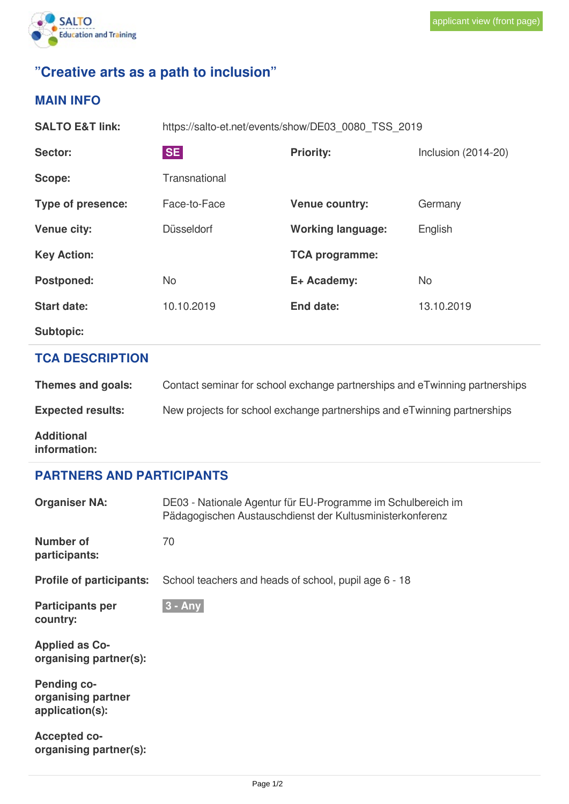

## **"Creative arts as a path to inclusion"**

## **MAIN INFO**

| <b>SALTO E&amp;T link:</b> | https://salto-et.net/events/show/DE03 0080 TSS 2019 |                          |                     |  |  |
|----------------------------|-----------------------------------------------------|--------------------------|---------------------|--|--|
| Sector:                    | <b>SE</b>                                           | <b>Priority:</b>         | Inclusion (2014-20) |  |  |
| Scope:                     | Transnational                                       |                          |                     |  |  |
| Type of presence:          | Face-to-Face                                        | <b>Venue country:</b>    | Germany             |  |  |
| <b>Venue city:</b>         | Düsseldorf                                          | <b>Working language:</b> | English             |  |  |
| <b>Key Action:</b>         |                                                     | <b>TCA programme:</b>    |                     |  |  |
| <b>Postponed:</b>          | No                                                  | E+ Academy:              | <b>No</b>           |  |  |
| <b>Start date:</b>         | 10.10.2019                                          | End date:                | 13.10.2019          |  |  |
| <b>Subtopic:</b>           |                                                     |                          |                     |  |  |

## **TCA DESCRIPTION**

| Themes and goals:                 | Contact seminar for school exchange partnerships and eTwinning partnerships |
|-----------------------------------|-----------------------------------------------------------------------------|
| <b>Expected results:</b>          | New projects for school exchange partnerships and eTwinning partnerships    |
| <b>Additional</b><br>information: |                                                                             |

## **PARTNERS AND PARTICIPANTS**

| <b>Organiser NA:</b>                                        | DE03 - Nationale Agentur für EU-Programme im Schulbereich im<br>Pädagogischen Austauschdienst der Kultusministerkonferenz |
|-------------------------------------------------------------|---------------------------------------------------------------------------------------------------------------------------|
| Number of<br>participants:                                  | 70                                                                                                                        |
| <b>Profile of participants:</b>                             | School teachers and heads of school, pupil age 6 - 18                                                                     |
| <b>Participants per</b><br>country:                         | $3 - Any$                                                                                                                 |
| <b>Applied as Co-</b><br>organising partner(s):             |                                                                                                                           |
| <b>Pending co-</b><br>organising partner<br>application(s): |                                                                                                                           |
| <b>Accepted co-</b><br>organising partner(s):               |                                                                                                                           |